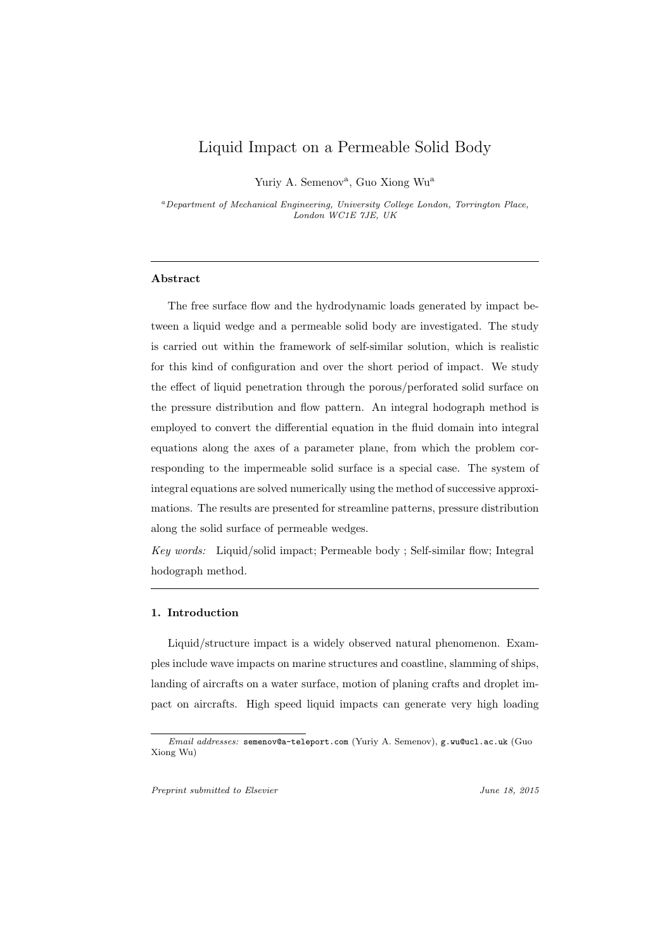## Liquid Impact on a Permeable Solid Body

Yuriy A. Semenov<sup>a</sup>, Guo Xiong Wu<sup>a</sup>

*<sup>a</sup>Department of Mechanical Engineering, University College London, Torrington Place, London WC1E 7JE, UK*

## **Abstract**

The free surface flow and the hydrodynamic loads generated by impact between a liquid wedge and a permeable solid body are investigated. The study is carried out within the framework of self-similar solution, which is realistic for this kind of configuration and over the short period of impact. We study the effect of liquid penetration through the porous/perforated solid surface on the pressure distribution and flow pattern. An integral hodograph method is employed to convert the differential equation in the fluid domain into integral equations along the axes of a parameter plane, from which the problem corresponding to the impermeable solid surface is a special case. The system of integral equations are solved numerically using the method of successive approximations. The results are presented for streamline patterns, pressure distribution along the solid surface of permeable wedges.

*Key words:* Liquid/solid impact; Permeable body; Self-similar flow; Integral hodograph method.

## **1. Introduction**

Liquid/structure impact is a widely observed natural phenomenon. Examples include wave impacts on marine structures and coastline, slamming of ships, landing of aircrafts on a water surface, motion of planing crafts and droplet impact on aircrafts. High speed liquid impacts can generate very high loading

*Preprint submitted to Elsevier June 18, 2015*

*Email addresses:* semenov@a-teleport.com (Yuriy A. Semenov), g.wu@ucl.ac.uk (Guo Xiong Wu)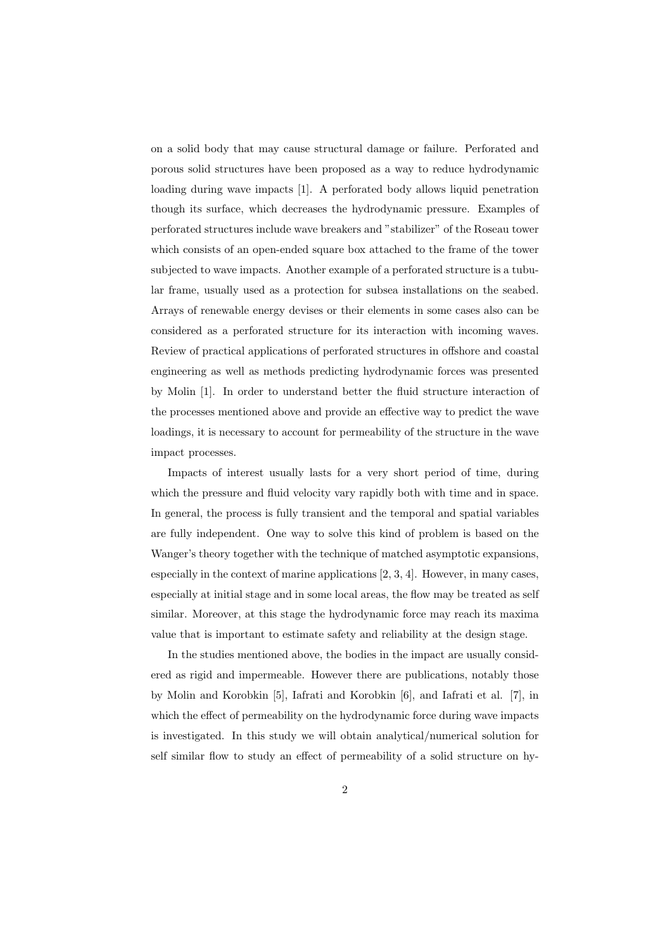on a solid body that may cause structural damage or failure. Perforated and porous solid structures have been proposed as a way to reduce hydrodynamic loading during wave impacts [1]. A perforated body allows liquid penetration though its surface, which decreases the hydrodynamic pressure. Examples of perforated structures include wave breakers and "stabilizer" of the Roseau tower which consists of an open-ended square box attached to the frame of the tower subjected to wave impacts. Another example of a perforated structure is a tubular frame, usually used as a protection for subsea installations on the seabed. Arrays of renewable energy devises or their elements in some cases also can be considered as a perforated structure for its interaction with incoming waves. Review of practical applications of perforated structures in offshore and coastal engineering as well as methods predicting hydrodynamic forces was presented by Molin [1]. In order to understand better the fluid structure interaction of the processes mentioned above and provide an effective way to predict the wave loadings, it is necessary to account for permeability of the structure in the wave impact processes.

Impacts of interest usually lasts for a very short period of time, during which the pressure and fluid velocity vary rapidly both with time and in space. In general, the process is fully transient and the temporal and spatial variables are fully independent. One way to solve this kind of problem is based on the Wanger's theory together with the technique of matched asymptotic expansions, especially in the context of marine applications [2, 3, 4]. However, in many cases, especially at initial stage and in some local areas, the flow may be treated as self similar. Moreover, at this stage the hydrodynamic force may reach its maxima value that is important to estimate safety and reliability at the design stage.

In the studies mentioned above, the bodies in the impact are usually considered as rigid and impermeable. However there are publications, notably those by Molin and Korobkin [5], Iafrati and Korobkin [6], and Iafrati et al. [7], in which the effect of permeability on the hydrodynamic force during wave impacts is investigated. In this study we will obtain analytical/numerical solution for self similar flow to study an effect of permeability of a solid structure on hy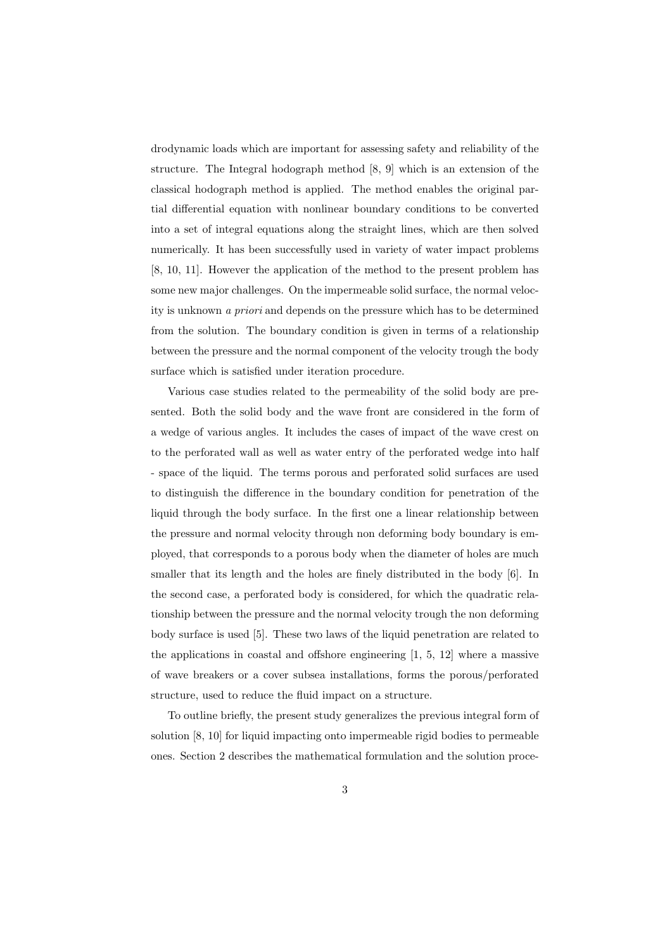drodynamic loads which are important for assessing safety and reliability of the structure. The Integral hodograph method [8, 9] which is an extension of the classical hodograph method is applied. The method enables the original partial differential equation with nonlinear boundary conditions to be converted into a set of integral equations along the straight lines, which are then solved numerically. It has been successfully used in variety of water impact problems [8, 10, 11]. However the application of the method to the present problem has some new major challenges. On the impermeable solid surface, the normal velocity is unknown *a priori* and depends on the pressure which has to be determined from the solution. The boundary condition is given in terms of a relationship between the pressure and the normal component of the velocity trough the body surface which is satisfied under iteration procedure.

Various case studies related to the permeability of the solid body are presented. Both the solid body and the wave front are considered in the form of a wedge of various angles. It includes the cases of impact of the wave crest on to the perforated wall as well as water entry of the perforated wedge into half - space of the liquid. The terms porous and perforated solid surfaces are used to distinguish the difference in the boundary condition for penetration of the liquid through the body surface. In the first one a linear relationship between the pressure and normal velocity through non deforming body boundary is employed, that corresponds to a porous body when the diameter of holes are much smaller that its length and the holes are finely distributed in the body [6]. In the second case, a perforated body is considered, for which the quadratic relationship between the pressure and the normal velocity trough the non deforming body surface is used [5]. These two laws of the liquid penetration are related to the applications in coastal and offshore engineering  $[1, 5, 12]$  where a massive of wave breakers or a cover subsea installations, forms the porous/perforated structure, used to reduce the fluid impact on a structure.

To outline briefly, the present study generalizes the previous integral form of solution [8, 10] for liquid impacting onto impermeable rigid bodies to permeable ones. Section 2 describes the mathematical formulation and the solution proce-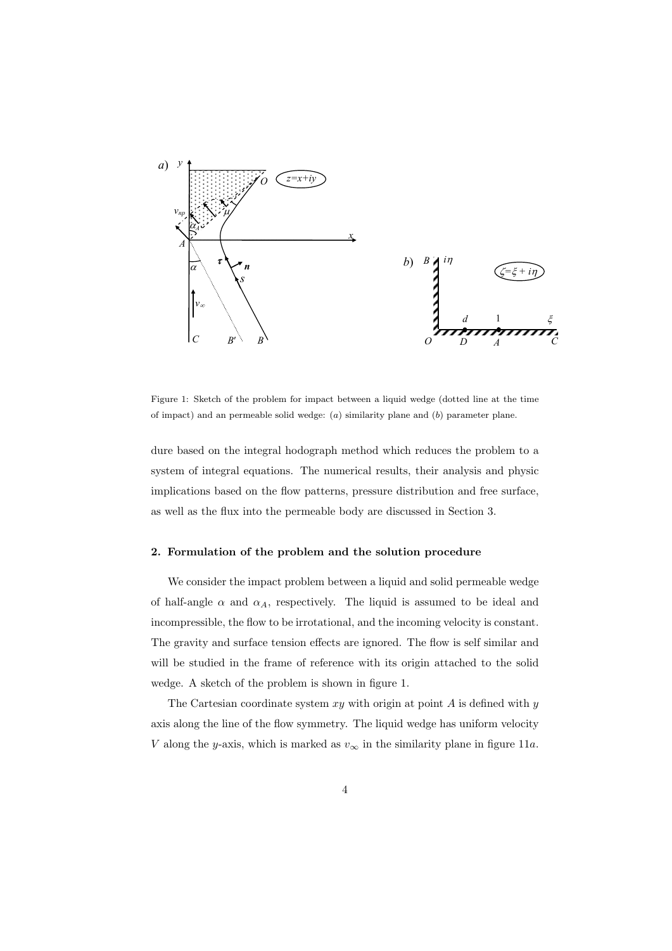

Figure 1: Sketch of the problem for impact between a liquid wedge (dotted line at the time of impact) and an permeable solid wedge: (*a*) similarity plane and (*b*) parameter plane.

dure based on the integral hodograph method which reduces the problem to a system of integral equations. The numerical results, their analysis and physic implications based on the flow patterns, pressure distribution and free surface, as well as the flux into the permeable body are discussed in Section 3.

### **2. Formulation of the problem and the solution procedure**

We consider the impact problem between a liquid and solid permeable wedge of half-angle  $\alpha$  and  $\alpha_A$ , respectively. The liquid is assumed to be ideal and incompressible, the flow to be irrotational, and the incoming velocity is constant. The gravity and surface tension effects are ignored. The flow is self similar and will be studied in the frame of reference with its origin attached to the solid wedge. A sketch of the problem is shown in figure 1.

The Cartesian coordinate system *xy* with origin at point *A* is defined with *y* axis along the line of the flow symmetry. The liquid wedge has uniform velocity *V* along the *y*-axis, which is marked as  $v_\infty$  in the similarity plane in figure 11*a*.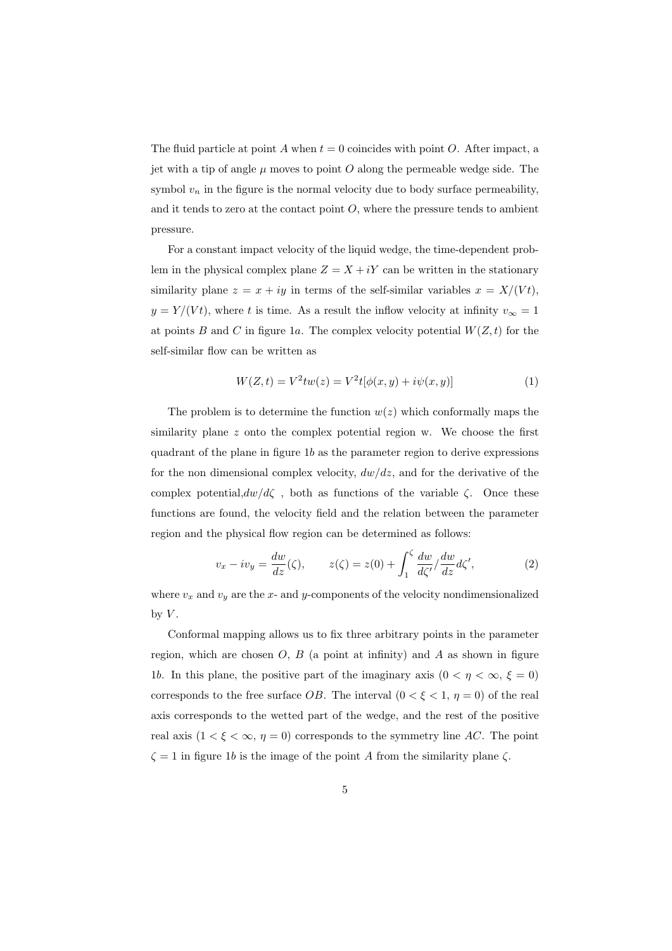The fluid particle at point  $A$  when  $t = 0$  coincides with point  $O$ . After impact, a jet with a tip of angle  $\mu$  moves to point O along the permeable wedge side. The symbol  $v_n$  in the figure is the normal velocity due to body surface permeability, and it tends to zero at the contact point  $O$ , where the pressure tends to ambient pressure.

For a constant impact velocity of the liquid wedge, the time-dependent problem in the physical complex plane  $Z = X + iY$  can be written in the stationary similarity plane  $z = x + iy$  in terms of the self-similar variables  $x = X/(Vt)$ ,  $y = Y/(Vt)$ , where *t* is time. As a result the inflow velocity at infinity  $v_{\infty} = 1$ at points *B* and *C* in figure 1*a*. The complex velocity potential  $W(Z, t)$  for the self-similar flow can be written as

$$
W(Z,t) = V^2 t w(z) = V^2 t [\phi(x,y) + i\psi(x,y)]
$$
\n(1)

The problem is to determine the function  $w(z)$  which conformally maps the similarity plane *z* onto the complex potential region w. We choose the first quadrant of the plane in figure 1*b* as the parameter region to derive expressions for the non dimensional complex velocity,  $dw/dz$ , and for the derivative of the complex potential, $dw/d\zeta$ , both as functions of the variable  $\zeta$ . Once these functions are found, the velocity field and the relation between the parameter region and the physical flow region can be determined as follows:

$$
v_x - iv_y = \frac{dw}{dz}(\zeta), \qquad z(\zeta) = z(0) + \int_1^{\zeta} \frac{dw}{d\zeta'} / \frac{dw}{dz} d\zeta', \tag{2}
$$

where  $v_x$  and  $v_y$  are the x- and y-components of the velocity nondimensionalized by  $V$ .

Conformal mapping allows us to fix three arbitrary points in the parameter region, which are chosen  $O, B$  (a point at infinity) and  $A$  as shown in figure 1*b*. In this plane, the positive part of the imaginary axis  $(0 < \eta < \infty, \xi = 0)$ corresponds to the free surface *OB*. The interval  $(0 < \xi < 1, \eta = 0)$  of the real axis corresponds to the wetted part of the wedge, and the rest of the positive real axis  $(1 \lt \xi \lt \infty, \eta = 0)$  corresponds to the symmetry line *AC*. The point  $\zeta = 1$  in figure 1*b* is the image of the point *A* from the similarity plane  $\zeta$ .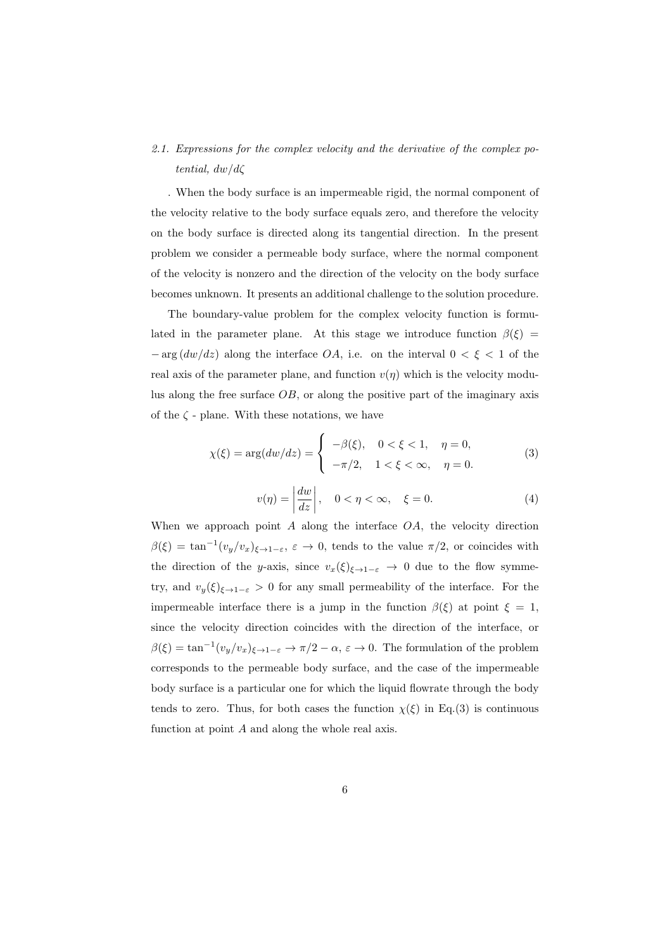## *2.1. Expressions for the complex velocity and the derivative of the complex potential, dw/dζ*

. When the body surface is an impermeable rigid, the normal component of the velocity relative to the body surface equals zero, and therefore the velocity on the body surface is directed along its tangential direction. In the present problem we consider a permeable body surface, where the normal component of the velocity is nonzero and the direction of the velocity on the body surface becomes unknown. It presents an additional challenge to the solution procedure.

The boundary-value problem for the complex velocity function is formulated in the parameter plane. At this stage we introduce function  $\beta(\xi)$  = *−* arg (*dw/dz*) along the interface *OA*, i.e. on the interval 0 *< ξ <* 1 of the real axis of the parameter plane, and function  $v(\eta)$  which is the velocity modulus along the free surface *OB*, or along the positive part of the imaginary axis of the *ζ* - plane. With these notations, we have

$$
\chi(\xi) = \arg(dw/dz) = \begin{cases}\n-\beta(\xi), & 0 < \xi < 1, \quad \eta = 0, \\
-\pi/2, & 1 < \xi < \infty, \quad \eta = 0.\n\end{cases}
$$
\n(3)

$$
v(\eta) = \left| \frac{dw}{dz} \right|, \quad 0 < \eta < \infty, \quad \xi = 0. \tag{4}
$$

When we approach point *A* along the interface *OA*, the velocity direction  $\beta(\xi) = \tan^{-1}(v_y/v_x)_{\xi \to 1-\varepsilon}, \ \varepsilon \to 0$ , tends to the value  $\pi/2$ , or coincides with the direction of the *y*-axis, since  $v_x(\xi)_{\xi \to 1-\varepsilon} \to 0$  due to the flow symmetry, and  $v_y(\xi)_{\xi \to 1-\varepsilon} > 0$  for any small permeability of the interface. For the impermeable interface there is a jump in the function  $\beta(\xi)$  at point  $\xi = 1$ , since the velocity direction coincides with the direction of the interface, or  $\beta(\xi) = \tan^{-1}(v_y/v_x)_{\xi \to 1-\varepsilon} \to \pi/2 - \alpha, \, \varepsilon \to 0.$  The formulation of the problem corresponds to the permeable body surface, and the case of the impermeable body surface is a particular one for which the liquid flowrate through the body tends to zero. Thus, for both cases the function  $\chi(\xi)$  in Eq.(3) is continuous function at point *A* and along the whole real axis.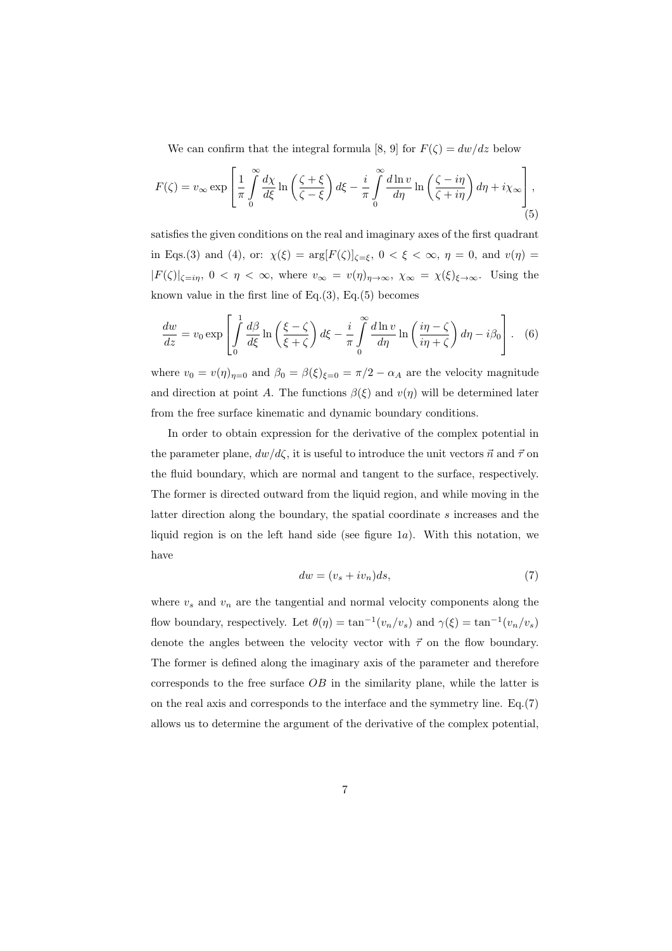We can confirm that the integral formula [8, 9] for  $F(\zeta) = dw/dz$  below

$$
F(\zeta) = v_{\infty} \exp\left[\frac{1}{\pi} \int_{0}^{\infty} \frac{d\chi}{d\xi} \ln\left(\frac{\zeta + \xi}{\zeta - \xi}\right) d\xi - \frac{i}{\pi} \int_{0}^{\infty} \frac{d\ln v}{d\eta} \ln\left(\frac{\zeta - i\eta}{\zeta + i\eta}\right) d\eta + i\chi_{\infty}\right],
$$
\n(5)

satisfies the given conditions on the real and imaginary axes of the first quadrant in Eqs.(3) and (4), or:  $\chi(\xi) = \arg[F(\zeta)]_{\zeta=\xi}$ ,  $0 < \xi < \infty$ ,  $\eta = 0$ , and  $v(\eta) =$  $|F(\zeta)|_{\zeta=i\eta}$ ,  $0 < \eta < \infty$ , where  $v_{\infty} = v(\eta)_{\eta \to \infty}$ ,  $\chi_{\infty} = \chi(\xi)_{\xi \to \infty}$ . Using the known value in the first line of Eq.(3), Eq.(5) becomes

$$
\frac{dw}{dz} = v_0 \exp\left[\int_0^1 \frac{d\beta}{d\xi} \ln\left(\frac{\xi - \zeta}{\xi + \zeta}\right) d\xi - \frac{i}{\pi} \int_0^\infty \frac{d\ln v}{d\eta} \ln\left(\frac{i\eta - \zeta}{i\eta + \zeta}\right) d\eta - i\beta_0\right].
$$
 (6)

where  $v_0 = v(\eta)_{\eta=0}$  and  $\beta_0 = \beta(\xi)_{\xi=0} = \pi/2 - \alpha_A$  are the velocity magnitude and direction at point *A*. The functions  $\beta(\xi)$  and  $v(\eta)$  will be determined later from the free surface kinematic and dynamic boundary conditions.

In order to obtain expression for the derivative of the complex potential in the parameter plane,  $dw/d\zeta$ , it is useful to introduce the unit vectors  $\vec{n}$  and  $\vec{\tau}$  on the fluid boundary, which are normal and tangent to the surface, respectively. The former is directed outward from the liquid region, and while moving in the latter direction along the boundary, the spatial coordinate *s* increases and the liquid region is on the left hand side (see figure 1*a*). With this notation, we have

$$
dw = (v_s + iv_n)ds,\t\t(7)
$$

where  $v_s$  and  $v_n$  are the tangential and normal velocity components along the flow boundary, respectively. Let  $\theta(\eta) = \tan^{-1}(v_n/v_s)$  and  $\gamma(\xi) = \tan^{-1}(v_n/v_s)$ denote the angles between the velocity vector with  $\vec{\tau}$  on the flow boundary. The former is defined along the imaginary axis of the parameter and therefore corresponds to the free surface *OB* in the similarity plane, while the latter is on the real axis and corresponds to the interface and the symmetry line. Eq.(7) allows us to determine the argument of the derivative of the complex potential,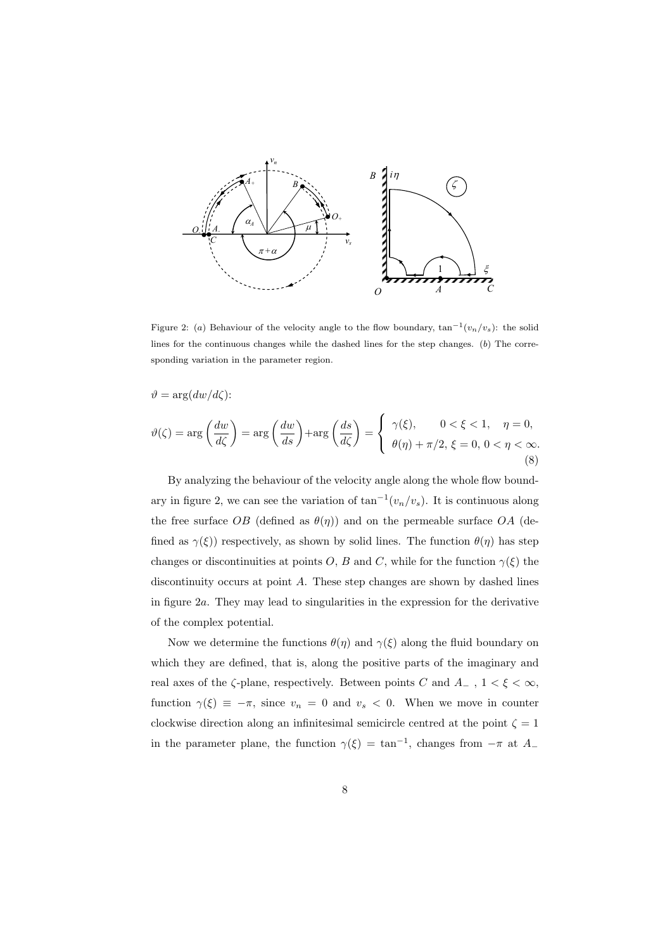

Figure 2: (*a*) Behaviour of the velocity angle to the flow boundary, tan*−*<sup>1</sup> (*vn/vs*): the solid lines for the continuous changes while the dashed lines for the step changes. (*b*) The corresponding variation in the parameter region.

$$
\vartheta = \arg(dw/d\zeta):
$$
  

$$
\vartheta(\zeta) = \arg\left(\frac{dw}{d\zeta}\right) = \arg\left(\frac{dw}{ds}\right) + \arg\left(\frac{ds}{d\zeta}\right) = \begin{cases} \gamma(\xi), & 0 < \xi < 1, \quad \eta = 0, \\ \theta(\eta) + \pi/2, \xi = 0, 0 < \eta < \infty. \end{cases}
$$
(8)

By analyzing the behaviour of the velocity angle along the whole flow boundary in figure 2, we can see the variation of tan*−*<sup>1</sup> (*vn/vs*). It is continuous along the free surface *OB* (defined as  $\theta(\eta)$ ) and on the permeable surface *OA* (defined as  $\gamma(\xi)$ ) respectively, as shown by solid lines. The function  $\theta(\eta)$  has step changes or discontinuities at points *O*, *B* and *C*, while for the function  $\gamma(\xi)$  the discontinuity occurs at point *A*. These step changes are shown by dashed lines in figure 2*a*. They may lead to singularities in the expression for the derivative of the complex potential.

Now we determine the functions  $\theta(\eta)$  and  $\gamma(\xi)$  along the fluid boundary on which they are defined, that is, along the positive parts of the imaginary and real axes of the  $\zeta\text{-plane, respectively.}$  Between points  $C$  and  $A_-\ ,\ 1<\xi<\infty,$ function  $\gamma(\xi) \equiv -\pi$ , since  $v_n = 0$  and  $v_s < 0$ . When we move in counter clockwise direction along an infinitesimal semicircle centred at the point  $\zeta = 1$ in the parameter plane, the function  $\gamma(\xi) = \tan^{-1}$ , changes from  $-\pi$  at *A*<sub>−</sub>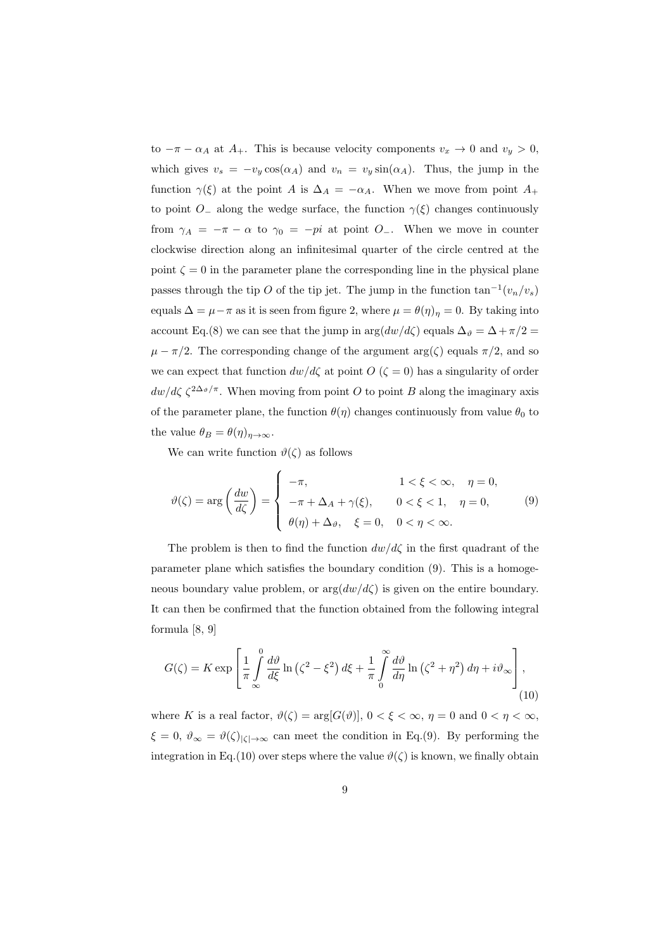to  $-\pi - \alpha_A$  at  $A_+$ . This is because velocity components  $v_x \to 0$  and  $v_y > 0$ , which gives  $v_s = -v_y \cos(\alpha_A)$  and  $v_n = v_y \sin(\alpha_A)$ . Thus, the jump in the function  $\gamma(\xi)$  at the point *A* is  $\Delta_A = -\alpha_A$ . When we move from point  $A_+$ to point *O*<sub>−</sub> along the wedge surface, the function  $\gamma(\xi)$  changes continuously from  $\gamma_A = -\pi - \alpha$  to  $\gamma_0 = -pi$  at point *O*<sub>−</sub>. When we move in counter clockwise direction along an infinitesimal quarter of the circle centred at the point  $\zeta = 0$  in the parameter plane the corresponding line in the physical plane passes through the tip *O* of the tip jet. The jump in the function  $\tan^{-1}(v_n/v_s)$ equals  $\Delta = \mu - \pi$  as it is seen from figure 2, where  $\mu = \theta(\eta)$ <sup>*n*</sup> = 0. By taking into account Eq.(8) we can see that the jump in  $\arg(dw/d\zeta)$  equals  $\Delta_{\vartheta} = \Delta + \pi/2$  $\mu - \pi/2$ . The corresponding change of the argument arg( $\zeta$ ) equals  $\pi/2$ , and so we can expect that function  $dw/d\zeta$  at point  $O(\zeta = 0)$  has a singularity of order  $dw/d\zeta \zeta^{2\Delta_{\vartheta}/\pi}$ . When moving from point *O* to point *B* along the imaginary axis of the parameter plane, the function  $\theta(\eta)$  changes continuously from value  $\theta_0$  to the value  $\theta_B = \theta(\eta)_{\eta \to \infty}$ .

We can write function  $\vartheta(\zeta)$  as follows

$$
\vartheta(\zeta) = \arg\left(\frac{dw}{d\zeta}\right) = \begin{cases}\n-\pi, & 1 < \xi < \infty, \quad \eta = 0, \\
-\pi + \Delta_A + \gamma(\xi), & 0 < \xi < 1, \quad \eta = 0, \\
\theta(\eta) + \Delta_{\vartheta}, & \xi = 0, \quad 0 < \eta < \infty.\n\end{cases}
$$
\n(9)

The problem is then to find the function  $dw/d\zeta$  in the first quadrant of the parameter plane which satisfies the boundary condition (9). This is a homogeneous boundary value problem, or  $\arg(dw/d\zeta)$  is given on the entire boundary. It can then be confirmed that the function obtained from the following integral formula [8, 9]

$$
G(\zeta) = K \exp\left[\frac{1}{\pi} \int_{-\infty}^{0} \frac{d\vartheta}{d\xi} \ln\left(\zeta^2 - \xi^2\right) d\xi + \frac{1}{\pi} \int_{0}^{\infty} \frac{d\vartheta}{d\eta} \ln\left(\zeta^2 + \eta^2\right) d\eta + i\vartheta_{\infty}\right],\tag{10}
$$

where *K* is a real factor,  $\vartheta(\zeta) = \arg[G(\vartheta)], 0 < \xi < \infty, \eta = 0 \text{ and } 0 < \eta < \infty$ ,  $\xi = 0$ ,  $\vartheta_{\infty} = \vartheta(\zeta)|_{\zeta \to \infty}$  can meet the condition in Eq.(9). By performing the integration in Eq.(10) over steps where the value  $\vartheta(\zeta)$  is known, we finally obtain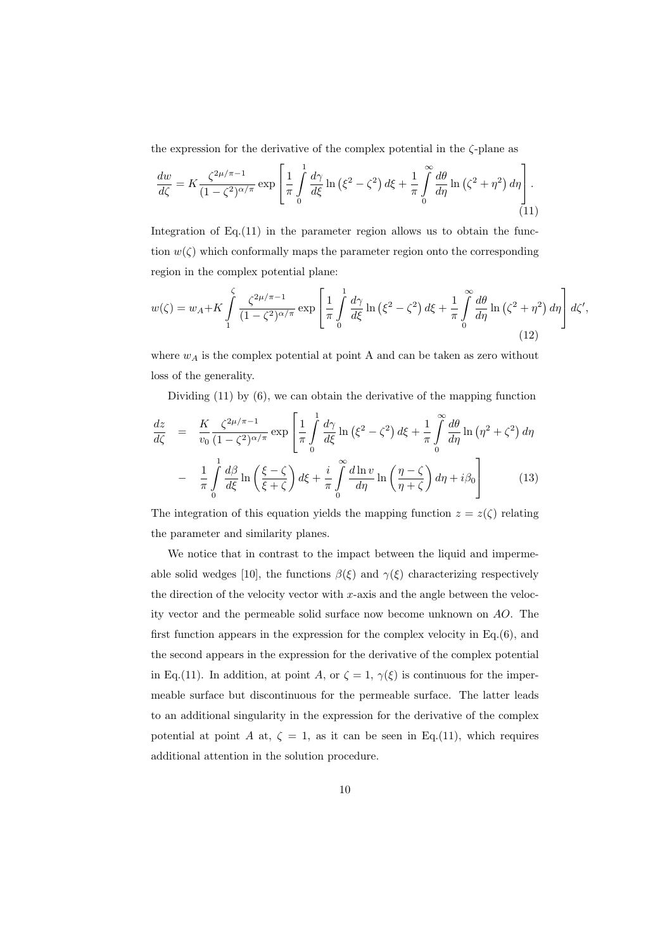the expression for the derivative of the complex potential in the *ζ*-plane as

$$
\frac{dw}{d\zeta} = K \frac{\zeta^{2\mu/\pi - 1}}{(1 - \zeta^2)^{\alpha/\pi}} \exp\left[\frac{1}{\pi} \int_0^1 \frac{d\gamma}{d\zeta} \ln\left(\xi^2 - \zeta^2\right) d\xi + \frac{1}{\pi} \int_0^\infty \frac{d\theta}{d\eta} \ln\left(\zeta^2 + \eta^2\right) d\eta\right].
$$
\n(11)

Integration of Eq. (11) in the parameter region allows us to obtain the function  $w(\zeta)$  which conformally maps the parameter region onto the corresponding region in the complex potential plane:

$$
w(\zeta) = w_A + K \int_{1}^{\zeta} \frac{\zeta^{2\mu/\pi - 1}}{(1 - \zeta^2)^{\alpha/\pi}} \exp\left[\frac{1}{\pi} \int_{0}^{1} \frac{d\gamma}{d\xi} \ln\left(\xi^2 - \zeta^2\right) d\xi + \frac{1}{\pi} \int_{0}^{\infty} \frac{d\theta}{d\eta} \ln\left(\zeta^2 + \eta^2\right) d\eta\right] d\zeta',\tag{12}
$$

where  $w_A$  is the complex potential at point A and can be taken as zero without loss of the generality.

Dividing (11) by (6), we can obtain the derivative of the mapping function

$$
\frac{dz}{d\zeta} = \frac{K}{v_0} \frac{\zeta^{2\mu/\pi - 1}}{(1 - \zeta^2)^{\alpha/\pi}} \exp\left[\frac{1}{\pi} \int_0^1 \frac{d\gamma}{d\xi} \ln\left(\xi^2 - \zeta^2\right) d\xi + \frac{1}{\pi} \int_0^\infty \frac{d\theta}{d\eta} \ln\left(\eta^2 + \zeta^2\right) d\eta\right]
$$

$$
- \frac{1}{\pi} \int_0^1 \frac{d\beta}{d\xi} \ln\left(\frac{\xi - \zeta}{\xi + \zeta}\right) d\xi + \frac{i}{\pi} \int_0^\infty \frac{d\ln v}{d\eta} \ln\left(\frac{\eta - \zeta}{\eta + \zeta}\right) d\eta + i\beta_0\right]
$$
(13)

The integration of this equation yields the mapping function  $z = z(\zeta)$  relating the parameter and similarity planes.

We notice that in contrast to the impact between the liquid and impermeable solid wedges [10], the functions  $\beta(\xi)$  and  $\gamma(\xi)$  characterizing respectively the direction of the velocity vector with *x*-axis and the angle between the velocity vector and the permeable solid surface now become unknown on *AO*. The first function appears in the expression for the complex velocity in Eq.(6), and the second appears in the expression for the derivative of the complex potential in Eq.(11). In addition, at point *A*, or  $\zeta = 1$ ,  $\gamma(\xi)$  is continuous for the impermeable surface but discontinuous for the permeable surface. The latter leads to an additional singularity in the expression for the derivative of the complex potential at point *A* at,  $\zeta = 1$ , as it can be seen in Eq.(11), which requires additional attention in the solution procedure.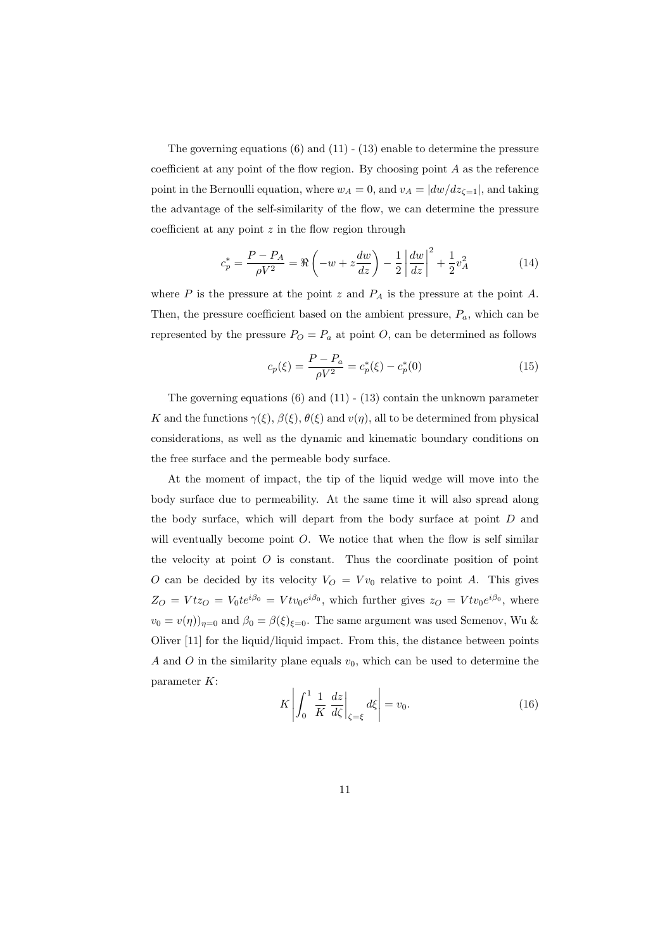The governing equations  $(6)$  and  $(11)$  -  $(13)$  enable to determine the pressure coefficient at any point of the flow region. By choosing point *A* as the reference point in the Bernoulli equation, where  $w_A = 0$ , and  $v_A = |dw/dz_{\zeta=1}|$ , and taking the advantage of the self-similarity of the flow, we can determine the pressure coefficient at any point *z* in the flow region through

$$
c_p^* = \frac{P - P_A}{\rho V^2} = \Re\left(-w + z\frac{dw}{dz}\right) - \frac{1}{2}\left|\frac{dw}{dz}\right|^2 + \frac{1}{2}v_A^2\tag{14}
$$

where  $P$  is the pressure at the point  $z$  and  $P_A$  is the pressure at the point  $A$ . Then, the pressure coefficient based on the ambient pressure, *Pa*, which can be represented by the pressure  $P_O = P_a$  at point *O*, can be determined as follows

$$
c_p(\xi) = \frac{P - P_a}{\rho V^2} = c_p^*(\xi) - c_p^*(0)
$$
\n(15)

The governing equations  $(6)$  and  $(11)$  -  $(13)$  contain the unknown parameter *K* and the functions  $\gamma(\xi)$ ,  $\beta(\xi)$ ,  $\theta(\xi)$  and  $v(\eta)$ , all to be determined from physical considerations, as well as the dynamic and kinematic boundary conditions on the free surface and the permeable body surface.

At the moment of impact, the tip of the liquid wedge will move into the body surface due to permeability. At the same time it will also spread along the body surface, which will depart from the body surface at point *D* and will eventually become point *O*. We notice that when the flow is self similar the velocity at point  $O$  is constant. Thus the coordinate position of point *O* can be decided by its velocity  $V_O = V v_0$  relative to point *A*. This gives  $Z_O = Vt z_O = V_0 t e^{i\beta_0} = V t v_0 e^{i\beta_0}$ , which further gives  $z_O = V t v_0 e^{i\beta_0}$ , where  $v_0 = v(\eta)$ )<sub> $\eta=0$ </sub> and  $\beta_0 = \beta(\xi)_{\xi=0}$ . The same argument was used Semenov, Wu & Oliver [11] for the liquid/liquid impact. From this, the distance between points *A* and *O* in the similarity plane equals  $v_0$ , which can be used to determine the parameter *K*:

$$
K\left|\int_{0}^{1} \frac{1}{K} \frac{dz}{d\zeta}\right|_{\zeta=\xi} d\xi\right| = v_0.
$$
 (16)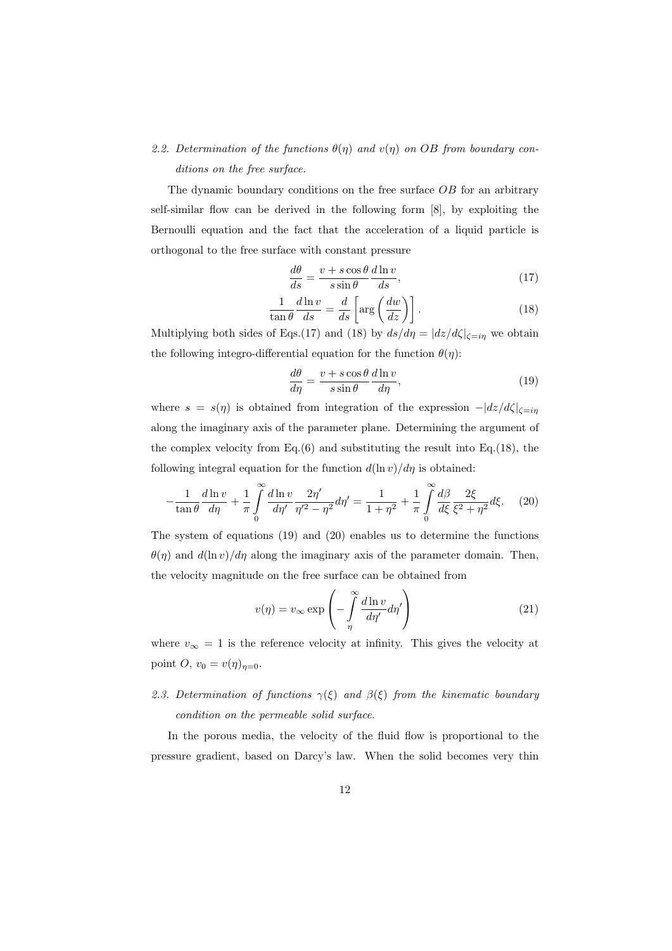# 2.2. Determination of the functions  $\theta(\eta)$  and  $v(\eta)$  on OB from boundary con*ditions on the free surface.*

The dynamic boundary conditions on the free surface *OB* for an arbitrary self-similar flow can be derived in the following form [8], by exploiting the Bernoulli equation and the fact that the acceleration of a liquid particle is orthogonal to the free surface with constant pressure

$$
\frac{d\theta}{ds} = \frac{v + s\cos\theta}{s\sin\theta} \frac{d\ln v}{ds},\tag{17}
$$

$$
\frac{1}{\tan \theta} \frac{d \ln v}{ds} = \frac{d}{ds} \left[ \arg \left( \frac{dw}{dz} \right) \right]. \tag{18}
$$

Multiplying both sides of Eqs.(17) and (18) by  $ds/d\eta = |dz/d\zeta|_{\zeta=i\eta}$  we obtain the following integro-differential equation for the function  $\theta(\eta)$ :

$$
\frac{d\theta}{d\eta} = \frac{v + s\cos\theta}{s\sin\theta} \frac{d\ln v}{d\eta},\tag{19}
$$

where *s* = *s*(*η*) is obtained from integration of the expression *−|dz/dζ|ζ*=*iη* along the imaginary axis of the parameter plane. Determining the argument of the complex velocity from Eq. $(6)$  and substituting the result into Eq. $(18)$ , the following integral equation for the function  $d(\ln v)/d\eta$  is obtained:

$$
-\frac{1}{\tan\theta}\frac{d\ln v}{d\eta} + \frac{1}{\pi} \int_{0}^{\infty} \frac{d\ln v}{d\eta'} \frac{2\eta'}{\eta'^2 - \eta^2} d\eta' = \frac{1}{1 + \eta^2} + \frac{1}{\pi} \int_{0}^{\infty} \frac{d\beta}{d\xi} \frac{2\xi}{\xi^2 + \eta^2} d\xi. \tag{20}
$$

The system of equations (19) and (20) enables us to determine the functions  $\theta(\eta)$  and  $d(\ln v)/d\eta$  along the imaginary axis of the parameter domain. Then, the velocity magnitude on the free surface can be obtained from

$$
v(\eta) = v_{\infty} \exp\left(-\int\limits_{\eta}^{\infty} \frac{d\ln v}{d\eta'} d\eta'\right)
$$
 (21)

where  $v_{\infty} = 1$  is the reference velocity at infinity. This gives the velocity at point *O*,  $v_0 = v(\eta)_{\eta=0}$ .

# *2.3. Determination of functions γ*(*ξ*) *and β*(*ξ*) *from the kinematic boundary condition on the permeable solid surface.*

In the porous media, the velocity of the fluid flow is proportional to the pressure gradient, based on Darcy's law. When the solid becomes very thin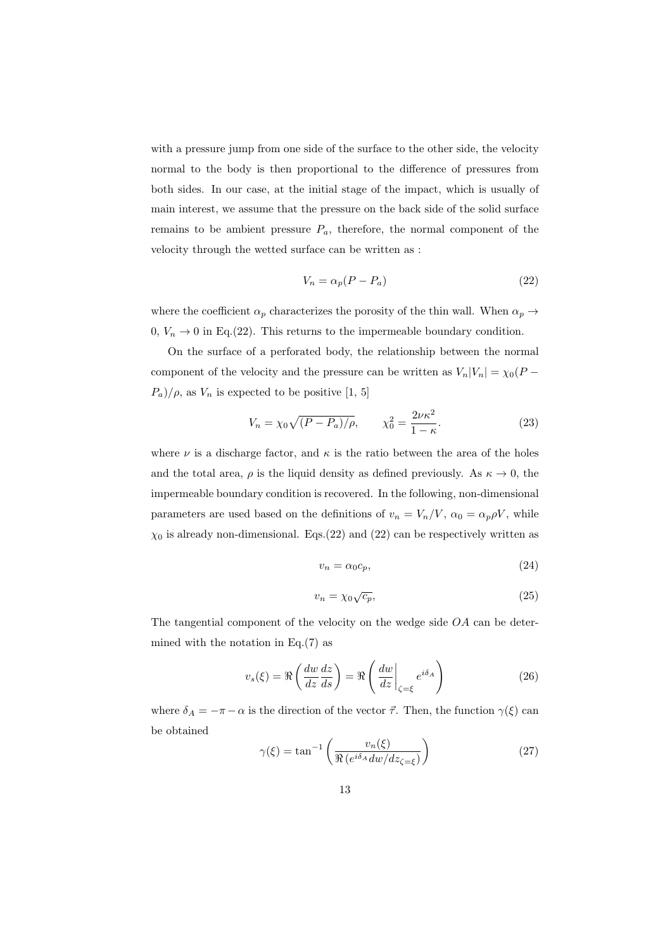with a pressure jump from one side of the surface to the other side, the velocity normal to the body is then proportional to the difference of pressures from both sides. In our case, at the initial stage of the impact, which is usually of main interest, we assume that the pressure on the back side of the solid surface remains to be ambient pressure  $P_a$ , therefore, the normal component of the velocity through the wetted surface can be written as :

$$
V_n = \alpha_p (P - P_a) \tag{22}
$$

where the coefficient  $\alpha_p$  characterizes the porosity of the thin wall. When  $\alpha_p \rightarrow$  $0, V_n \to 0$  in Eq.(22). This returns to the impermeable boundary condition.

On the surface of a perforated body, the relationship between the normal component of the velocity and the pressure can be written as  $V_n|V_n| = \chi_0(P - \frac{1}{n})$  $P_a$ )/ $\rho$ , as  $V_n$  is expected to be positive [1, 5]

$$
V_n = \chi_0 \sqrt{(P - P_a)/\rho}, \qquad \chi_0^2 = \frac{2\nu\kappa^2}{1 - \kappa}.
$$
 (23)

where  $\nu$  is a discharge factor, and  $\kappa$  is the ratio between the area of the holes and the total area,  $\rho$  is the liquid density as defined previously. As  $\kappa \to 0$ , the impermeable boundary condition is recovered. In the following, non-dimensional parameters are used based on the definitions of  $v_n = V_n/V$ ,  $\alpha_0 = \alpha_p \rho V$ , while  $\chi_0$  is already non-dimensional. Eqs.(22) and (22) can be respectively written as

$$
v_n = \alpha_0 c_p,\tag{24}
$$

$$
v_n = \chi_0 \sqrt{c_p},\tag{25}
$$

The tangential component of the velocity on the wedge side *OA* can be determined with the notation in Eq. $(7)$  as

$$
v_s(\xi) = \Re\left(\frac{dw}{dz}\frac{dz}{ds}\right) = \Re\left(\frac{dw}{dz}\bigg|_{\zeta=\xi} e^{i\delta_A}\right) \tag{26}
$$

where  $\delta_A = -\pi - \alpha$  is the direction of the vector  $\vec{\tau}$ . Then, the function  $\gamma(\xi)$  can be obtained

$$
\gamma(\xi) = \tan^{-1}\left(\frac{v_n(\xi)}{\Re\left(e^{i\delta_A}dw/dz_{\zeta=\xi}\right)}\right)
$$
(27)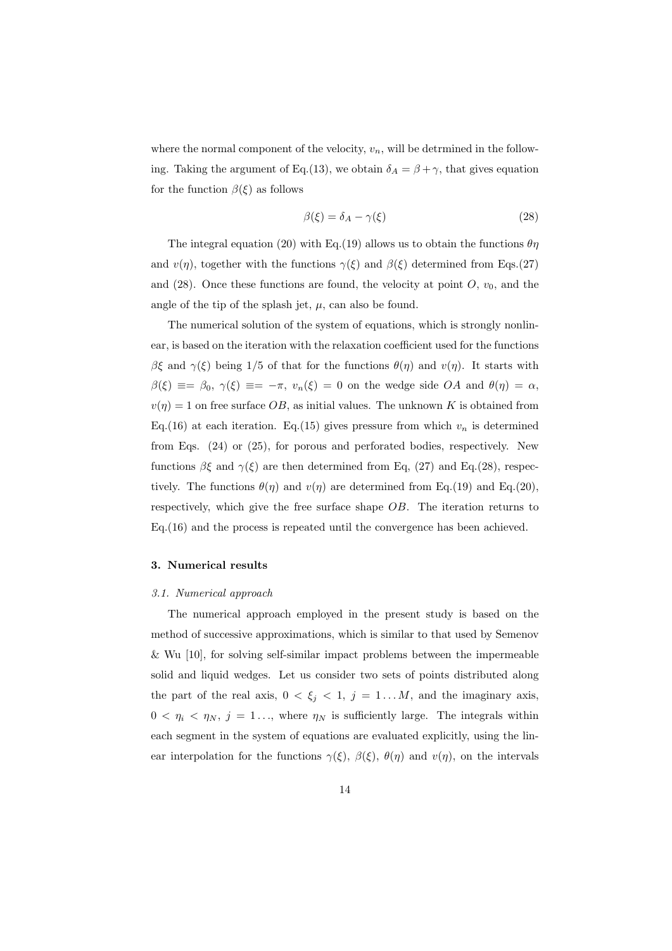where the normal component of the velocity,  $v_n$ , will be detrmined in the following. Taking the argument of Eq.(13), we obtain  $\delta_A = \beta + \gamma$ , that gives equation for the function  $\beta(\xi)$  as follows

$$
\beta(\xi) = \delta_A - \gamma(\xi) \tag{28}
$$

The integral equation (20) with Eq.(19) allows us to obtain the functions  $\theta\eta$ and  $v(\eta)$ , together with the functions  $\gamma(\xi)$  and  $\beta(\xi)$  determined from Eqs.(27) and  $(28)$ . Once these functions are found, the velocity at point *O*,  $v_0$ , and the angle of the tip of the splash jet,  $\mu$ , can also be found.

The numerical solution of the system of equations, which is strongly nonlinear, is based on the iteration with the relaxation coefficient used for the functions *βξ* and *γ*(*ξ*) being 1/5 of that for the functions  $θ(η)$  and  $v(η)$ . It starts with  $\beta(\xi) \equiv -\beta_0$ ,  $\gamma(\xi) \equiv -\pi$ ,  $v_n(\xi) = 0$  on the wedge side *OA* and  $\theta(\eta) = \alpha$ ,  $v(\eta) = 1$  on free surface  $OB$ , as initial values. The unknown *K* is obtained from Eq.(16) at each iteration. Eq.(15) gives pressure from which  $v_n$  is determined from Eqs. (24) or (25), for porous and perforated bodies, respectively. New functions  $\beta \xi$  and  $\gamma(\xi)$  are then determined from Eq. (27) and Eq.(28), respectively. The functions  $\theta(\eta)$  and  $v(\eta)$  are determined from Eq.(19) and Eq.(20). respectively, which give the free surface shape *OB*. The iteration returns to Eq.(16) and the process is repeated until the convergence has been achieved.

#### **3. Numerical results**

#### *3.1. Numerical approach*

The numerical approach employed in the present study is based on the method of successive approximations, which is similar to that used by Semenov & Wu [10], for solving self-similar impact problems between the impermeable solid and liquid wedges. Let us consider two sets of points distributed along the part of the real axis,  $0 < \xi_j < 1$ ,  $j = 1...M$ , and the imaginary axis,  $0 < \eta_i < \eta_N$ ,  $j = 1...$ , where  $\eta_N$  is sufficiently large. The integrals within each segment in the system of equations are evaluated explicitly, using the linear interpolation for the functions  $\gamma(\xi)$ ,  $\beta(\xi)$ ,  $\theta(\eta)$  and  $v(\eta)$ , on the intervals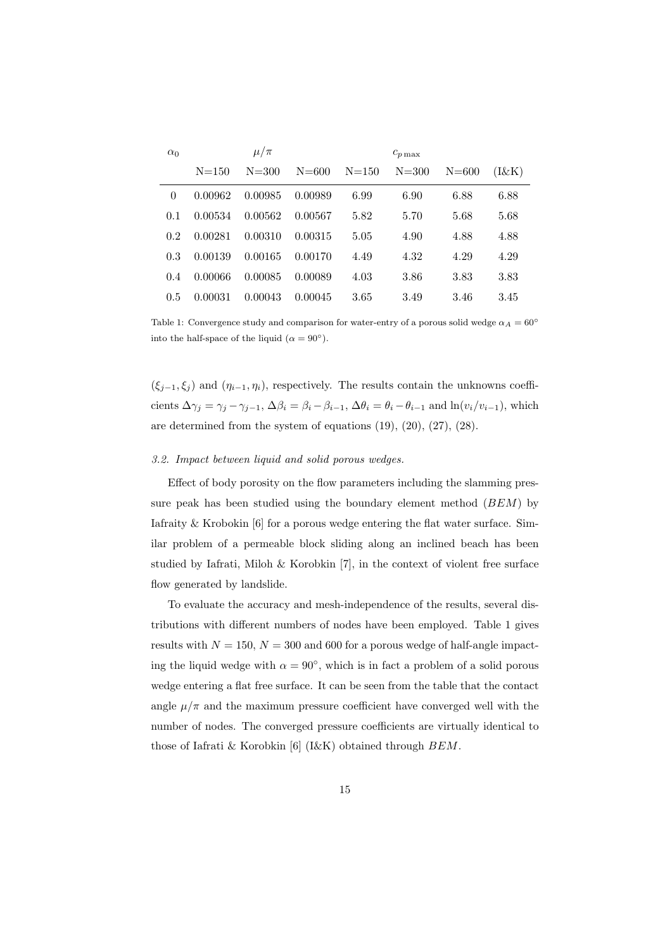| $\alpha_0$ |           | $\mu/\pi$ |           |           | $c_{p\max}$ |           |          |
|------------|-----------|-----------|-----------|-----------|-------------|-----------|----------|
|            | $N = 150$ | $N = 300$ | $N = 600$ | $N = 150$ | $N = 300$   | $N = 600$ | $(I\&K)$ |
| $\theta$   | 0.00962   | 0.00985   | 0.00989   | 6.99      | 6.90        | 6.88      | 6.88     |
| 0.1        | 0.00534   | 0.00562   | 0.00567   | 5.82      | 5.70        | 5.68      | 5.68     |
| 0.2        | 0.00281   | 0.00310   | 0.00315   | 5.05      | 4.90        | 4.88      | 4.88     |
| 0.3        | 0.00139   | 0.00165   | 0.00170   | 4.49      | 4.32        | 4.29      | 4.29     |
| 0.4        | 0.00066   | 0.00085   | 0.00089   | 4.03      | 3.86        | 3.83      | 3.83     |
| 0.5        | 0.00031   | 0.00043   | 0.00045   | 3.65      | 3.49        | 3.46      | 3.45     |

Table 1: Convergence study and comparison for water-entry of a porous solid wedge  $\alpha_A = 60^\circ$ into the half-space of the liquid ( $\alpha = 90^\circ$ ).

 $(\xi_{j-1}, \xi_j)$  and  $(\eta_{i-1}, \eta_i)$ , respectively. The results contain the unknowns coefficients  $\Delta \gamma_j = \gamma_j - \gamma_{j-1}$ ,  $\Delta \beta_i = \beta_i - \beta_{i-1}$ ,  $\Delta \theta_i = \theta_i - \theta_{i-1}$  and  $\ln(v_i/v_{i-1})$ , which are determined from the system of equations (19), (20), (27), (28).

#### *3.2. Impact between liquid and solid porous wedges.*

Effect of body porosity on the flow parameters including the slamming pressure peak has been studied using the boundary element method (*BEM*) by Iafraity & Krobokin [6] for a porous wedge entering the flat water surface. Similar problem of a permeable block sliding along an inclined beach has been studied by Iafrati, Miloh & Korobkin [7], in the context of violent free surface flow generated by landslide.

To evaluate the accuracy and mesh-independence of the results, several distributions with different numbers of nodes have been employed. Table 1 gives results with  $N = 150$ ,  $N = 300$  and 600 for a porous wedge of half-angle impacting the liquid wedge with  $\alpha = 90^{\circ}$ , which is in fact a problem of a solid porous wedge entering a flat free surface. It can be seen from the table that the contact angle  $\mu/\pi$  and the maximum pressure coefficient have converged well with the number of nodes. The converged pressure coefficients are virtually identical to those of Iafrati & Korobkin [6] (I&K) obtained through *BEM*.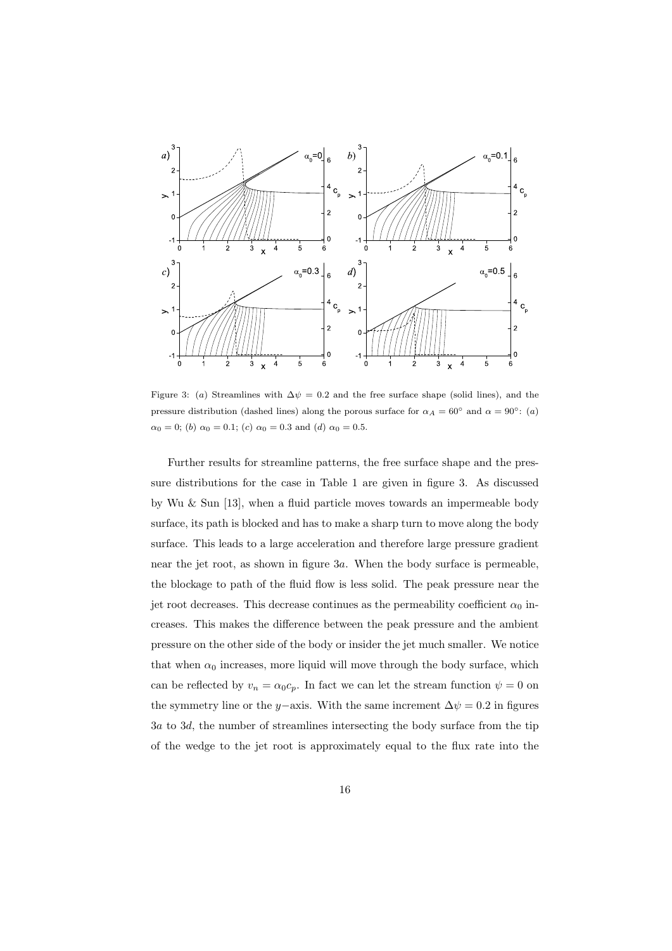

Figure 3: (*a*) Streamlines with  $\Delta \psi = 0.2$  and the free surface shape (solid lines), and the pressure distribution (dashed lines) along the porous surface for  $\alpha_A = 60^\circ$  and  $\alpha = 90^\circ$ : (*a*)  $\alpha_0 = 0$ ; (*b*)  $\alpha_0 = 0.1$ ; (*c*)  $\alpha_0 = 0.3$  and (*d*)  $\alpha_0 = 0.5$ .

Further results for streamline patterns, the free surface shape and the pressure distributions for the case in Table 1 are given in figure 3. As discussed by Wu & Sun [13], when a fluid particle moves towards an impermeable body surface, its path is blocked and has to make a sharp turn to move along the body surface. This leads to a large acceleration and therefore large pressure gradient near the jet root, as shown in figure 3*a*. When the body surface is permeable, the blockage to path of the fluid flow is less solid. The peak pressure near the jet root decreases. This decrease continues as the permeability coefficient  $\alpha_0$  increases. This makes the difference between the peak pressure and the ambient pressure on the other side of the body or insider the jet much smaller. We notice that when  $\alpha_0$  increases, more liquid will move through the body surface, which can be reflected by  $v_n = \alpha_0 c_p$ . In fact we can let the stream function  $\psi = 0$  on the symmetry line or the *y* $-$ axis. With the same increment  $\Delta \psi = 0.2$  in figures 3*a* to 3*d*, the number of streamlines intersecting the body surface from the tip of the wedge to the jet root is approximately equal to the flux rate into the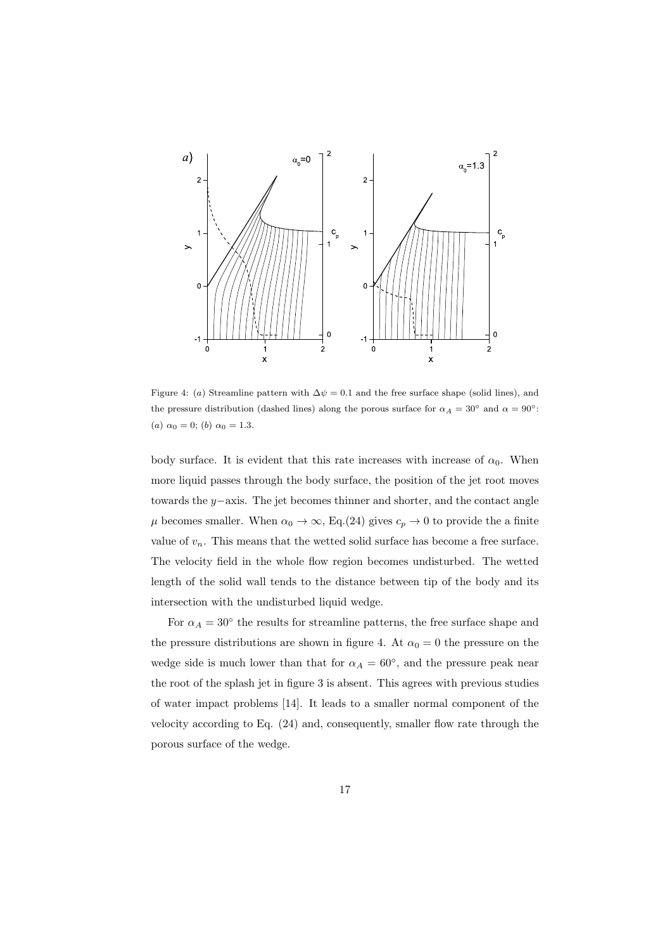

Figure 4: (*a*) Streamline pattern with  $\Delta \psi = 0.1$  and the free surface shape (solid lines), and the pressure distribution (dashed lines) along the porous surface for  $\alpha_A = 30^\circ$  and  $\alpha = 90^\circ$ : (*a*)  $\alpha_0 = 0$ ; (*b*)  $\alpha_0 = 1.3$ .

body surface. It is evident that this rate increases with increase of  $\alpha_0$ . When more liquid passes through the body surface, the position of the jet root moves towards the *y−*axis. The jet becomes thinner and shorter, and the contact angle  $\mu$  becomes smaller. When  $\alpha_0 \to \infty$ , Eq.(24) gives  $c_p \to 0$  to provide the a finite value of  $v_n$ . This means that the wetted solid surface has become a free surface. The velocity field in the whole flow region becomes undisturbed. The wetted length of the solid wall tends to the distance between tip of the body and its intersection with the undisturbed liquid wedge.

For  $\alpha_A = 30^\circ$  the results for streamline patterns, the free surface shape and the pressure distributions are shown in figure 4. At  $\alpha_0 = 0$  the pressure on the wedge side is much lower than that for  $\alpha_A = 60^\circ$ , and the pressure peak near the root of the splash jet in figure 3 is absent. This agrees with previous studies of water impact problems [14]. It leads to a smaller normal component of the velocity according to Eq. (24) and, consequently, smaller flow rate through the porous surface of the wedge.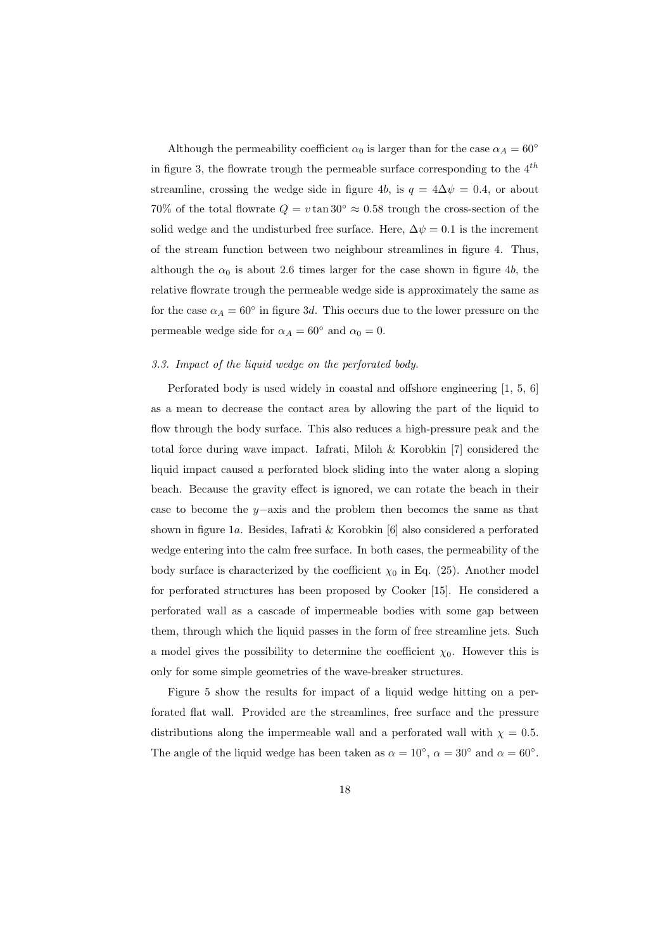Although the permeability coefficient  $\alpha_0$  is larger than for the case  $\alpha_A = 60^\circ$ in figure 3, the flowrate trough the permeable surface corresponding to the 4*th* streamline, crossing the wedge side in figure 4*b*, is  $q = 4\Delta \psi = 0.4$ , or about 70% of the total flowrate  $Q = v \tan 30^\circ \approx 0.58$  trough the cross-section of the solid wedge and the undisturbed free surface. Here,  $\Delta \psi = 0.1$  is the increment of the stream function between two neighbour streamlines in figure 4. Thus, although the  $\alpha_0$  is about 2.6 times larger for the case shown in figure 4*b*, the relative flowrate trough the permeable wedge side is approximately the same as for the case  $\alpha_A = 60^\circ$  in figure 3*d*. This occurs due to the lower pressure on the permeable wedge side for  $\alpha_A = 60^\circ$  and  $\alpha_0 = 0$ .

## *3.3. Impact of the liquid wedge on the perforated body.*

Perforated body is used widely in coastal and offshore engineering [1, 5, 6] as a mean to decrease the contact area by allowing the part of the liquid to flow through the body surface. This also reduces a high-pressure peak and the total force during wave impact. Iafrati, Miloh & Korobkin [7] considered the liquid impact caused a perforated block sliding into the water along a sloping beach. Because the gravity effect is ignored, we can rotate the beach in their case to become the *y−*axis and the problem then becomes the same as that shown in figure 1*a*. Besides, Iafrati & Korobkin [6] also considered a perforated wedge entering into the calm free surface. In both cases, the permeability of the body surface is characterized by the coefficient  $\chi_0$  in Eq. (25). Another model for perforated structures has been proposed by Cooker [15]. He considered a perforated wall as a cascade of impermeable bodies with some gap between them, through which the liquid passes in the form of free streamline jets. Such a model gives the possibility to determine the coefficient  $\chi_0$ . However this is only for some simple geometries of the wave-breaker structures.

Figure 5 show the results for impact of a liquid wedge hitting on a perforated flat wall. Provided are the streamlines, free surface and the pressure distributions along the impermeable wall and a perforated wall with  $\chi = 0.5$ . The angle of the liquid wedge has been taken as  $\alpha = 10^{\circ}$ ,  $\alpha = 30^{\circ}$  and  $\alpha = 60^{\circ}$ .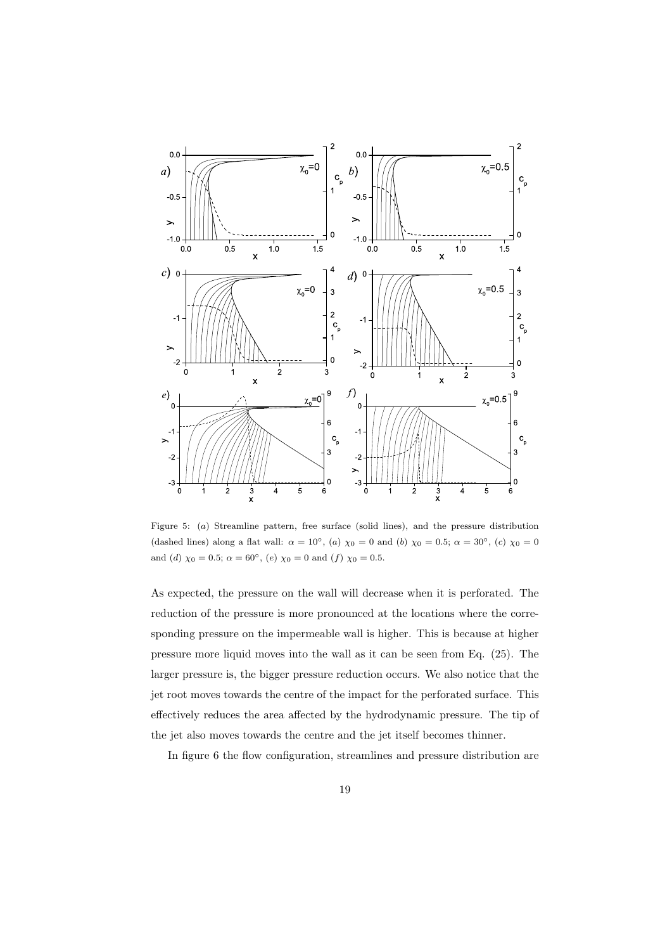

Figure 5: (*a*) Streamline pattern, free surface (solid lines), and the pressure distribution (dashed lines) along a flat wall:  $\alpha = 10^{\circ}$ , (*a*)  $\chi_0 = 0$  and (*b*)  $\chi_0 = 0.5$ ;  $\alpha = 30^{\circ}$ , (*c*)  $\chi_0 = 0$ and (*d*)  $\chi_0 = 0.5$ ;  $\alpha = 60^\circ$ , (*e*)  $\chi_0 = 0$  and (*f*)  $\chi_0 = 0.5$ .

As expected, the pressure on the wall will decrease when it is perforated. The reduction of the pressure is more pronounced at the locations where the corresponding pressure on the impermeable wall is higher. This is because at higher pressure more liquid moves into the wall as it can be seen from Eq. (25). The larger pressure is, the bigger pressure reduction occurs. We also notice that the jet root moves towards the centre of the impact for the perforated surface. This effectively reduces the area affected by the hydrodynamic pressure. The tip of the jet also moves towards the centre and the jet itself becomes thinner.

In figure 6 the flow configuration, streamlines and pressure distribution are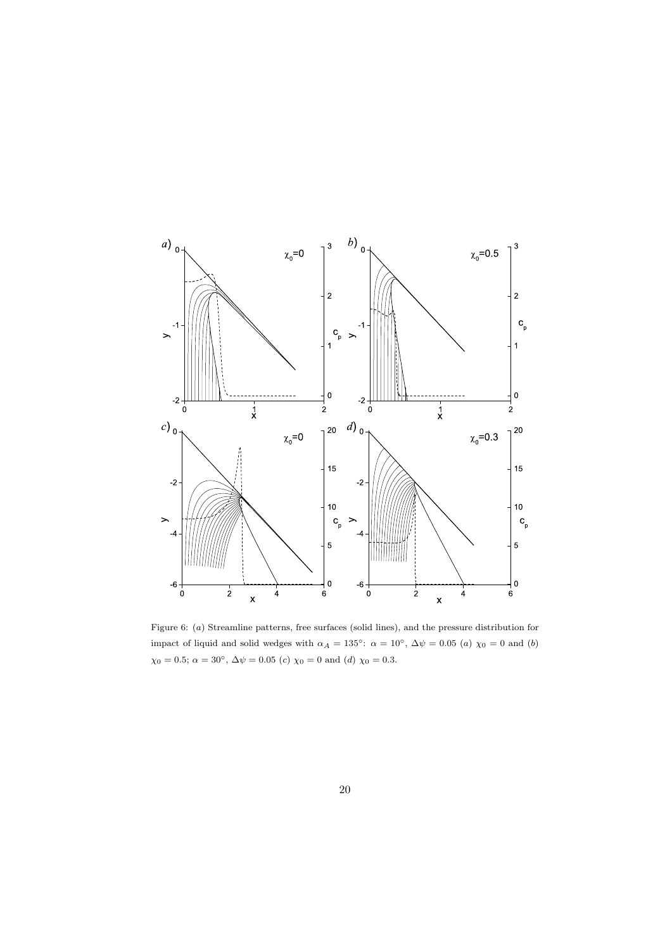

Figure 6: (*a*) Streamline patterns, free surfaces (solid lines), and the pressure distribution for impact of liquid and solid wedges with  $\alpha_A = 135^\circ$ :  $\alpha = 10^\circ$ ,  $\Delta \psi = 0.05$  (*a*)  $\chi_0 = 0$  and (*b*)  $\chi$ <sub>0</sub> = 0.5;  $\alpha = 30^{\circ}$ ,  $\Delta \psi = 0.05$  (*c*)  $\chi$ <sub>0</sub> = 0 and (*d*)  $\chi$ <sub>0</sub> = 0.3.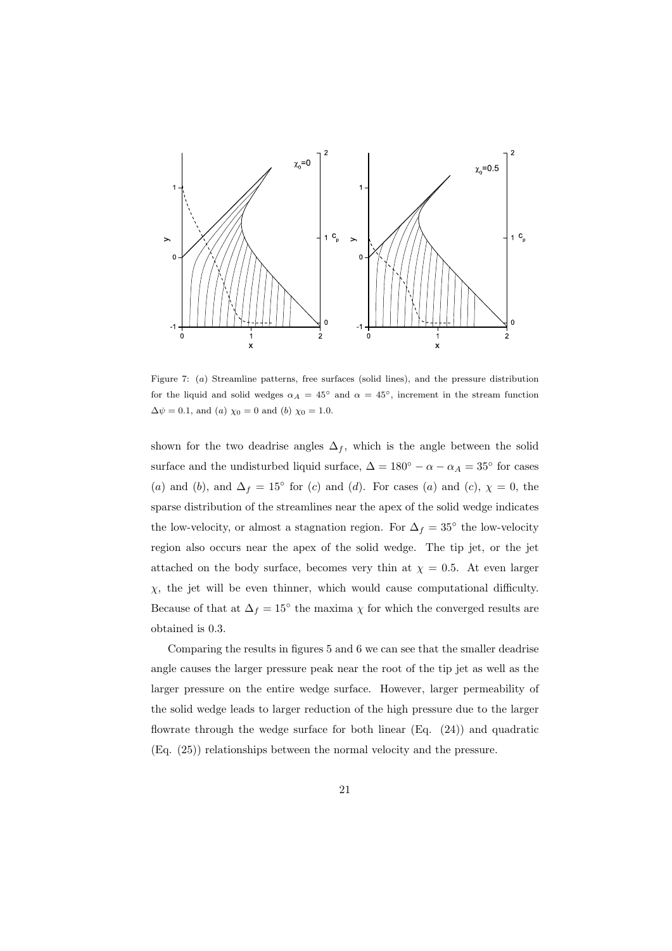

Figure 7: (*a*) Streamline patterns, free surfaces (solid lines), and the pressure distribution for the liquid and solid wedges  $\alpha_A = 45^\circ$  and  $\alpha = 45^\circ$ , increment in the stream function  $\Delta \psi = 0.1$ , and (*a*)  $\chi_0 = 0$  and (*b*)  $\chi_0 = 1.0$ .

shown for the two deadrise angles  $\Delta_f$ , which is the angle between the solid surface and the undisturbed liquid surface,  $\Delta = 180^\circ - \alpha - \alpha_A = 35^\circ$  for cases (*a*) and (*b*), and  $\Delta_f = 15^\circ$  for (*c*) and (*d*). For cases (*a*) and (*c*),  $\chi = 0$ , the sparse distribution of the streamlines near the apex of the solid wedge indicates the low-velocity, or almost a stagnation region. For  $\Delta_f = 35^\circ$  the low-velocity region also occurs near the apex of the solid wedge. The tip jet, or the jet attached on the body surface, becomes very thin at  $\chi = 0.5$ . At even larger *χ*, the jet will be even thinner, which would cause computational difficulty. Because of that at  $\Delta_f = 15^\circ$  the maxima  $\chi$  for which the converged results are obtained is 0*.*3.

Comparing the results in figures 5 and 6 we can see that the smaller deadrise angle causes the larger pressure peak near the root of the tip jet as well as the larger pressure on the entire wedge surface. However, larger permeability of the solid wedge leads to larger reduction of the high pressure due to the larger flowrate through the wedge surface for both linear  $(Eq. (24))$  and quadratic (Eq. (25)) relationships between the normal velocity and the pressure.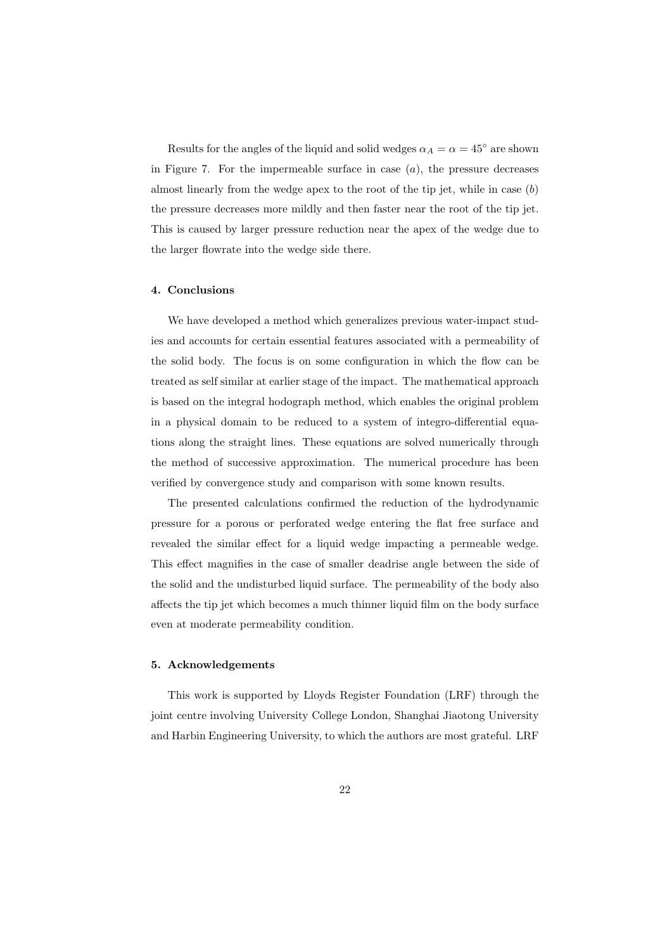Results for the angles of the liquid and solid wedges  $\alpha_A = \alpha = 45^\circ$  are shown in Figure 7. For the impermeable surface in case (*a*), the pressure decreases almost linearly from the wedge apex to the root of the tip jet, while in case (*b*) the pressure decreases more mildly and then faster near the root of the tip jet. This is caused by larger pressure reduction near the apex of the wedge due to the larger flowrate into the wedge side there.

#### **4. Conclusions**

We have developed a method which generalizes previous water-impact studies and accounts for certain essential features associated with a permeability of the solid body. The focus is on some configuration in which the flow can be treated as self similar at earlier stage of the impact. The mathematical approach is based on the integral hodograph method, which enables the original problem in a physical domain to be reduced to a system of integro-differential equations along the straight lines. These equations are solved numerically through the method of successive approximation. The numerical procedure has been verified by convergence study and comparison with some known results.

The presented calculations confirmed the reduction of the hydrodynamic pressure for a porous or perforated wedge entering the flat free surface and revealed the similar effect for a liquid wedge impacting a permeable wedge. This effect magnifies in the case of smaller deadrise angle between the side of the solid and the undisturbed liquid surface. The permeability of the body also affects the tip jet which becomes a much thinner liquid film on the body surface even at moderate permeability condition.

#### **5. Acknowledgements**

This work is supported by Lloyds Register Foundation (LRF) through the joint centre involving University College London, Shanghai Jiaotong University and Harbin Engineering University, to which the authors are most grateful. LRF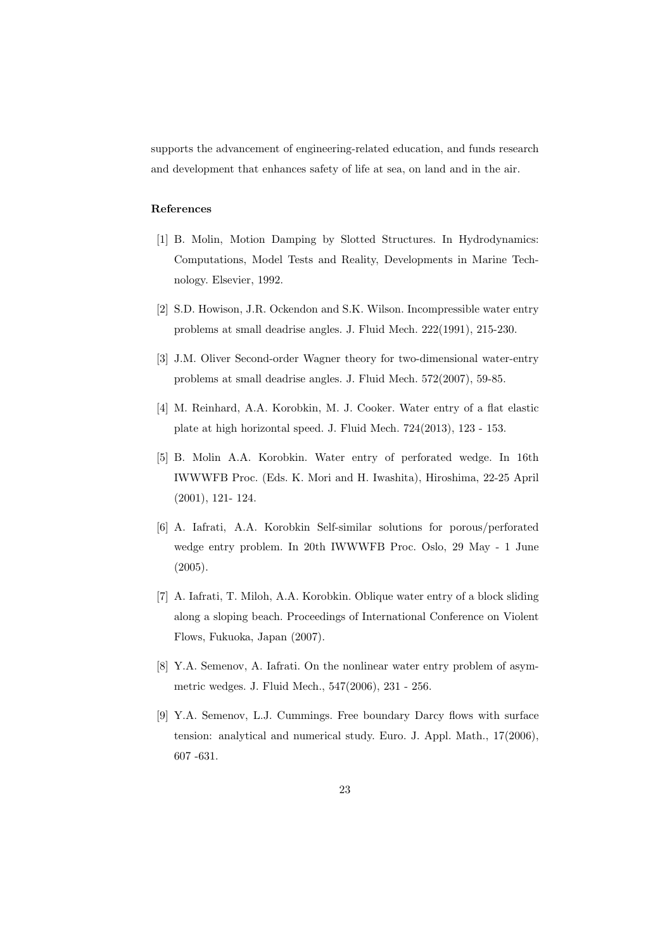supports the advancement of engineering-related education, and funds research and development that enhances safety of life at sea, on land and in the air.

#### **References**

- [1] B. Molin, Motion Damping by Slotted Structures. In Hydrodynamics: Computations, Model Tests and Reality, Developments in Marine Technology. Elsevier, 1992.
- [2] S.D. Howison, J.R. Ockendon and S.K. Wilson. Incompressible water entry problems at small deadrise angles. J. Fluid Mech. 222(1991), 215-230.
- [3] J.M. Oliver Second-order Wagner theory for two-dimensional water-entry problems at small deadrise angles. J. Fluid Mech. 572(2007), 59-85.
- [4] M. Reinhard, A.A. Korobkin, M. J. Cooker. Water entry of a flat elastic plate at high horizontal speed. J. Fluid Mech. 724(2013), 123 - 153.
- [5] B. Molin A.A. Korobkin. Water entry of perforated wedge. In 16th IWWWFB Proc. (Eds. K. Mori and H. Iwashita), Hiroshima, 22-25 April (2001), 121- 124.
- [6] A. Iafrati, A.A. Korobkin Self-similar solutions for porous/perforated wedge entry problem. In 20th IWWWFB Proc. Oslo, 29 May - 1 June (2005).
- [7] A. Iafrati, T. Miloh, A.A. Korobkin. Oblique water entry of a block sliding along a sloping beach. Proceedings of International Conference on Violent Flows, Fukuoka, Japan (2007).
- [8] Y.A. Semenov, A. Iafrati. On the nonlinear water entry problem of asymmetric wedges. J. Fluid Mech., 547(2006), 231 - 256.
- [9] Y.A. Semenov, L.J. Cummings. Free boundary Darcy flows with surface tension: analytical and numerical study. Euro. J. Appl. Math., 17(2006), 607 -631.